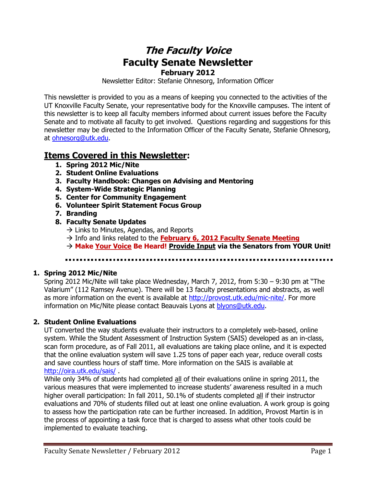# **The Faculty Voice Faculty Senate Newsletter February 2012**

Newsletter Editor: Stefanie Ohnesorg, Information Officer

This newsletter is provided to you as a means of keeping you connected to the activities of the UT Knoxville Faculty Senate, your representative body for the Knoxville campuses. The intent of this newsletter is to keep all faculty members informed about current issues before the Faculty Senate and to motivate all faculty to get involved. Questions regarding and suggestions for this newsletter may be directed to the Information Officer of the Faculty Senate, Stefanie Ohnesorg, at [ohnesorg@utk.edu.](mailto:ohnesorg@utk.edu)

## **Items Covered in this Newsletter:**

- **1. Spring 2012 Mic/Nite**
- **2. Student Online Evaluations**
- **3. Faculty Handbook: Changes on Advising and Mentoring**
- **4. System-Wide Strategic Planning**
- **5. Center for Community Engagement**
- **6. Volunteer Spirit Statement Focus Group**
- **7. Branding**
- **8. Faculty Senate Updates** 
	- $\rightarrow$  Links to Minutes, Agendas, and Reports
	- $\rightarrow$  Info and links related to the **February 6, 2012 Faculty Senate Meeting**
	- **Make Your Voice Be Heard! Provide Input via the Senators from YOUR Unit!**

#### **1. Spring 2012 Mic/Nite**

Spring 2012 Mic/Nite will take place Wednesday, March 7, 2012, from 5:30 – 9:30 pm at "The Valarium" (112 Ramsey Avenue). There will be 13 faculty presentations and abstracts, as well as more information on the event is available at [http://provost.utk.edu/mic-nite/.](http://provost.utk.edu/mic-nite/) For more information on Mic/Nite please contact Beauvais Lyons at [blyons@utk.edu.](mailto:blyons@utk.edu)

#### **2. Student Online Evaluations**

UT converted the way students evaluate their instructors to a completely web-based, online system. While the Student Assessment of Instruction System (SAIS) developed as an in-class, scan form procedure, as of Fall 2011, all evaluations are taking place online, and it is expected that the online evaluation system will save 1.25 tons of paper each year, reduce overall costs and save countless hours of staff time. More information on the SAIS is available at <http://oira.utk.edu/sais/> .

While only 34% of students had completed all of their evaluations online in spring 2011, the various measures that were implemented to increase students' awareness resulted in a much higher overall participation: In fall 2011, 50.1% of students completed all if their instructor evaluations and 70% of students filled out at least one online evaluation. A work group is going to assess how the participation rate can be further increased. In addition, Provost Martin is in the process of appointing a task force that is charged to assess what other tools could be implemented to evaluate teaching.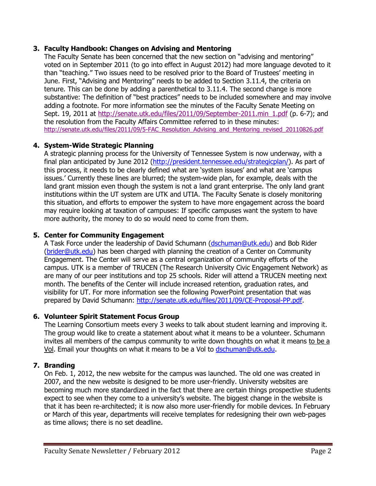#### **3. Faculty Handbook: Changes on Advising and Mentoring**

The Faculty Senate has been concerned that the new section on "advising and mentoring" voted on in September 2011 (to go into effect in August 2012) had more language devoted to it than "teaching." Two issues need to be resolved prior to the Board of Trustees' meeting in June. First, "Advising and Mentoring" needs to be added to Section 3.11.4, the criteria on tenure. This can be done by adding a parenthetical to 3.11.4. The second change is more substantive: The definition of "best practices" needs to be included somewhere and may involve adding a footnote. For more information see the minutes of the Faculty Senate Meeting on Sept. 19, 2011 at [http://senate.utk.edu/files/2011/09/September-2011.min\\_1.pdf](http://senate.utk.edu/files/2011/09/September-2011.min_1.pdf) (p. 6-7); and the resolution from the Faculty Affairs Committee referred to in these minutes: [http://senate.utk.edu/files/2011/09/5-FAC\\_Resolution\\_Advising\\_and\\_Mentoring\\_revised\\_20110826.pdf](http://senate.utk.edu/files/2011/09/5-FAC_Resolution_Advising_and_Mentoring_revised_20110826.pdf)

#### **4. System-Wide Strategic Planning**

A strategic planning process for the University of Tennessee System is now underway, with a final plan anticipated by June 2012 [\(http://president.tennessee.edu/strategicplan/\)](http://president.tennessee.edu/strategicplan/). As part of this process, it needs to be clearly defined what are 'system issues' and what are 'campus issues.' Currently these lines are blurred; the system-wide plan, for example, deals with the land grant mission even though the system is not a land grant enterprise. The only land grant institutions within the UT system are UTK and UTIA. The Faculty Senate is closely monitoring this situation, and efforts to empower the system to have more engagement across the board may require looking at taxation of campuses: If specific campuses want the system to have more authority, the money to do so would need to come from them.

#### **5. Center for Community Engagement**

A Task Force under the leadership of David Schumann [\(dschuman@utk.edu\)](mailto:dschuman@utk.edu) and Bob Rider [\(brider@utk.edu\)](mailto:brider@utk.edu) has been charged with planning the creation of a Center on Community Engagement. The Center will serve as a central organization of community efforts of the campus. UTK is a member of TRUCEN (The Research University Civic Engagement Network) as are many of our peer institutions and top 25 schools. Rider will attend a TRUCEN meeting next month. The benefits of the Center will include increased retention, graduation rates, and visibility for UT. For more information see the following PowerPoint presentation that was prepared by David Schumann: [http://senate.utk.edu/files/2011/09/CE-Proposal-PP.pdf.](http://senate.utk.edu/files/2011/09/CE-Proposal-PP.pdf)

#### **6. Volunteer Spirit Statement Focus Group**

The Learning Consortium meets every 3 weeks to talk about student learning and improving it. The group would like to create a statement about what it means to be a volunteer. Schumann invites all members of the campus community to write down thoughts on what it means to be a Vol. Email your thoughts on what it means to be a Vol to [dschuman@utk.edu.](mailto:dschuman@utk.edu)

### **7. Branding**

On Feb. 1, 2012, the new website for the campus was launched. The old one was created in 2007, and the new website is designed to be more user-friendly. University websites are becoming much more standardized in the fact that there are certain things prospective students expect to see when they come to a university's website. The biggest change in the website is that it has been re-architected; it is now also more user-friendly for mobile devices. In February or March of this year, departments will receive templates for redesigning their own web-pages as time allows; there is no set deadline.